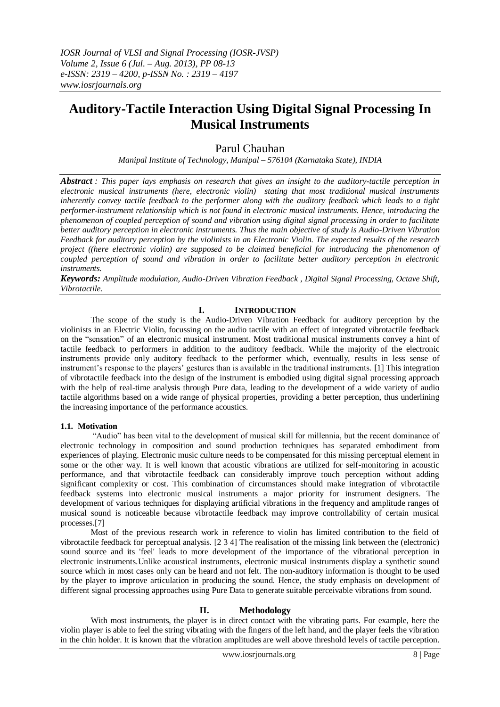# **Auditory-Tactile Interaction Using Digital Signal Processing In Musical Instruments**

# Parul Chauhan

*Manipal Institute of Technology, Manipal – 576104 (Karnataka State), INDIA*

*Abstract : This paper lays emphasis on research that gives an insight to the auditory-tactile perception in electronic musical instruments (here, electronic violin) stating that most traditional musical instruments inherently convey tactile feedback to the performer along with the auditory feedback which leads to a tight performer-instrument relationship which is not found in electronic musical instruments. Hence, introducing the phenomenon of coupled perception of sound and vibration using digital signal processing in order to facilitate better auditory perception in electronic instruments. Thus the main objective of study is Audio-Driven Vibration Feedback for auditory perception by the violinists in an Electronic Violin. The expected results of the research project ((here electronic violin) are supposed to be claimed beneficial for introducing the phenomenon of coupled perception of sound and vibration in order to facilitate better auditory perception in electronic instruments.* 

*Keywords: Amplitude modulation, Audio-Driven Vibration Feedback , Digital Signal Processing, Octave Shift, Vibrotactile.*

# **I. INTRODUCTION**

The scope of the study is the Audio-Driven Vibration Feedback for auditory perception by the violinists in an Electric Violin, focussing on the audio tactile with an effect of integrated vibrotactile feedback on the "sensation" of an electronic musical instrument. Most traditional musical instruments convey a hint of tactile feedback to performers in addition to the auditory feedback. While the majority of the electronic instruments provide only auditory feedback to the performer which, eventually, results in less sense of instrument's response to the players' gestures than is available in the traditional instruments. [1] This integration of vibrotactile feedback into the design of the instrument is embodied using digital signal processing approach with the help of real-time analysis through Pure data, leading to the development of a wide variety of audio tactile algorithms based on a wide range of physical properties, providing a better perception, thus underlining the increasing importance of the performance acoustics.

# **1.1. Motivation**

"Audio" has been vital to the development of musical skill for millennia, but the recent dominance of electronic technology in composition and sound production techniques has separated embodiment from experiences of playing. Electronic music culture needs to be compensated for this missing perceptual element in some or the other way. It is well known that acoustic vibrations are utilized for self-monitoring in acoustic performance, and that vibrotactile feedback can considerably improve touch perception without adding significant complexity or cost. This combination of circumstances should make integration of vibrotactile feedback systems into electronic musical instruments a major priority for instrument designers. The development of various techniques for displaying artificial vibrations in the frequency and amplitude ranges of musical sound is noticeable because vibrotactile feedback may improve controllability of certain musical processes.[7]

Most of the previous research work in reference to violin has limited contribution to the field of vibrotactile feedback for perceptual analysis. [2 3 4] The realisation of the missing link between the (electronic) sound source and its 'feel' leads to more development of the importance of the vibrational perception in electronic instruments.Unlike acoustical instruments, electronic musical instruments display a synthetic sound source which in most cases only can be heard and not felt. The non-auditory information is thought to be used by the player to improve articulation in producing the sound. Hence, the study emphasis on development of different signal processing approaches using Pure Data to generate suitable perceivable vibrations from sound.

# **II. Methodology**

With most instruments, the player is in direct contact with the vibrating parts. For example, here the violin player is able to feel the string vibrating with the fingers of the left hand, and the player feels the vibration in the chin holder. It is known that the vibration amplitudes are well above threshold levels of tactile perception.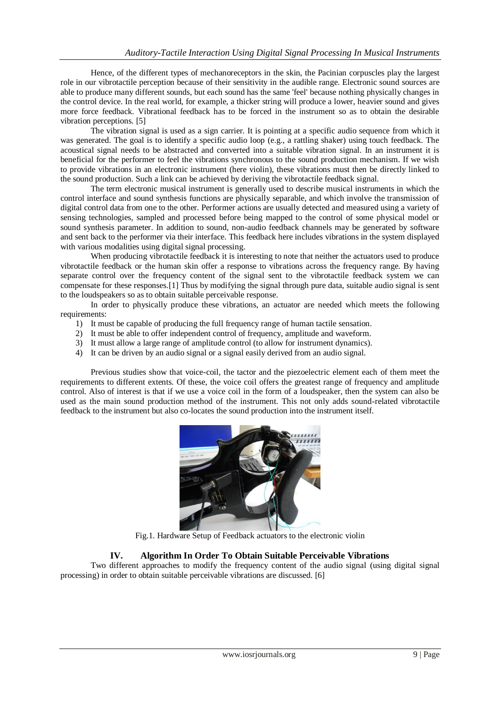Hence, of the different types of mechanoreceptors in the skin, the Pacinian corpuscles play the largest role in our vibrotactile perception because of their sensitivity in the audible range. Electronic sound sources are able to produce many different sounds, but each sound has the same 'feel' because nothing physically changes in the control device. In the real world, for example, a thicker string will produce a lower, heavier sound and gives more force feedback. Vibrational feedback has to be forced in the instrument so as to obtain the desirable vibration perceptions. [5]

The vibration signal is used as a sign carrier. It is pointing at a specific audio sequence from which it was generated. The goal is to identify a specific audio loop (e.g., a rattling shaker) using touch feedback. The acoustical signal needs to be abstracted and converted into a suitable vibration signal. In an instrument it is beneficial for the performer to feel the vibrations synchronous to the sound production mechanism. If we wish to provide vibrations in an electronic instrument (here violin), these vibrations must then be directly linked to the sound production. Such a link can be achieved by deriving the vibrotactile feedback signal.

The term electronic musical instrument is generally used to describe musical instruments in which the control interface and sound synthesis functions are physically separable, and which involve the transmission of digital control data from one to the other. Performer actions are usually detected and measured using a variety of sensing technologies, sampled and processed before being mapped to the control of some physical model or sound synthesis parameter. In addition to sound, non-audio feedback channels may be generated by software and sent back to the performer via their interface. This feedback here includes vibrations in the system displayed with various modalities using digital signal processing.

When producing vibrotactile feedback it is interesting to note that neither the actuators used to produce vibrotactile feedback or the human skin offer a response to vibrations across the frequency range. By having separate control over the frequency content of the signal sent to the vibrotactile feedback system we can compensate for these responses.[1] Thus by modifying the signal through pure data, suitable audio signal is sent to the loudspeakers so as to obtain suitable perceivable response.

In order to physically produce these vibrations, an actuator are needed which meets the following requirements:

- 1) It must be capable of producing the full frequency range of human tactile sensation.
- 2) It must be able to offer independent control of frequency, amplitude and waveform.
- 3) It must allow a large range of amplitude control (to allow for instrument dynamics).
- 4) It can be driven by an audio signal or a signal easily derived from an audio signal.

Previous studies show that voice-coil, the tactor and the piezoelectric element each of them meet the requirements to different extents. Of these, the voice coil offers the greatest range of frequency and amplitude control. Also of interest is that if we use a voice coil in the form of a loudspeaker, then the system can also be used as the main sound production method of the instrument. This not only adds sound-related vibrotactile feedback to the instrument but also co-locates the sound production into the instrument itself.



Fig.1. Hardware Setup of Feedback actuators to the electronic violin

# **IV. Algorithm In Order To Obtain Suitable Perceivable Vibrations**

Two different approaches to modify the frequency content of the audio signal (using digital signal processing) in order to obtain suitable perceivable vibrations are discussed. [6]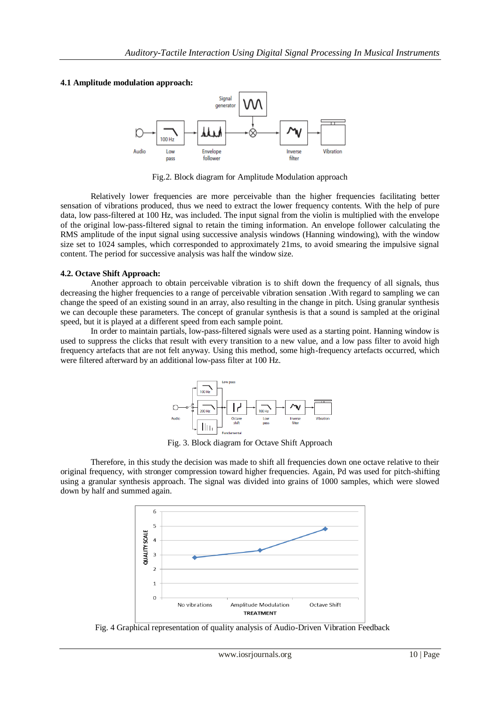### **4.1 Amplitude modulation approach:**



Fig.2. Block diagram for Amplitude Modulation approach

Relatively lower frequencies are more perceivable than the higher frequencies facilitating better sensation of vibrations produced, thus we need to extract the lower frequency contents. With the help of pure data, low pass-filtered at 100 Hz, was included. The input signal from the violin is multiplied with the envelope of the original low-pass-filtered signal to retain the timing information. An envelope follower calculating the RMS amplitude of the input signal using successive analysis windows (Hanning windowing), with the window size set to 1024 samples, which corresponded to approximately 21ms, to avoid smearing the impulsive signal content. The period for successive analysis was half the window size.

### **4.2. Octave Shift Approach:**

Another approach to obtain perceivable vibration is to shift down the frequency of all signals, thus decreasing the higher frequencies to a range of perceivable vibration sensation .With regard to sampling we can change the speed of an existing sound in an array, also resulting in the change in pitch. Using granular synthesis we can decouple these parameters. The concept of granular synthesis is that a sound is sampled at the original speed, but it is played at a different speed from each sample point.

In order to maintain partials, low-pass-filtered signals were used as a starting point. Hanning window is used to suppress the clicks that result with every transition to a new value, and a low pass filter to avoid high frequency artefacts that are not felt anyway. Using this method, some high-frequency artefacts occurred, which were filtered afterward by an additional low-pass filter at 100 Hz.



Fig. 3. Block diagram for Octave Shift Approach

Therefore, in this study the decision was made to shift all frequencies down one octave relative to their original frequency, with stronger compression toward higher frequencies. Again, Pd was used for pitch-shifting using a granular synthesis approach. The signal was divided into grains of 1000 samples, which were slowed down by half and summed again.



Fig. 4 Graphical representation of quality analysis of Audio-Driven Vibration Feedback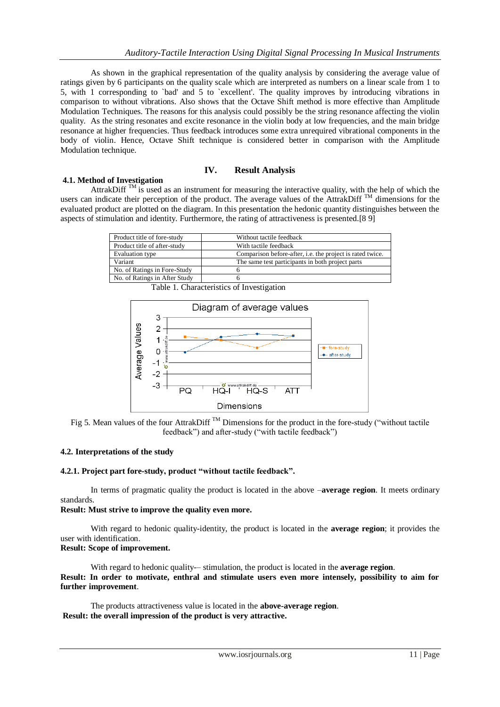As shown in the graphical representation of the quality analysis by considering the average value of ratings given by 6 participants on the quality scale which are interpreted as numbers on a linear scale from 1 to 5, with 1 corresponding to `bad' and 5 to `excellent'. The quality improves by introducing vibrations in comparison to without vibrations. Also shows that the Octave Shift method is more effective than Amplitude Modulation Techniques. The reasons for this analysis could possibly be the string resonance affecting the violin quality. As the string resonates and excite resonance in the violin body at low frequencies, and the main bridge resonance at higher frequencies. Thus feedback introduces some extra unrequired vibrational components in the body of violin. Hence, Octave Shift technique is considered better in comparison with the Amplitude Modulation technique.

# **IV. Result Analysis**

### **4.1. Method of Investigation**

AttrakDiff  $^{TM}$  is used as an instrument for measuring the interactive quality, with the help of which the users can indicate their perception of the product. The average values of the AttrakDiff  $^{TM}$  dimensions for the evaluated product are plotted on the diagram. In this presentation the hedonic quantity distinguishes between the aspects of stimulation and identity. Furthermore, the rating of attractiveness is presented.[8 9]

| Product title of fore-study   | Without tactile feedback                                         |
|-------------------------------|------------------------------------------------------------------|
| Product title of after-study  | With tactile feedback                                            |
| Evaluation type               | Comparison before-after, <i>i.e.</i> the project is rated twice. |
| Variant                       | The same test participants in both project parts                 |
| No. of Ratings in Fore-Study  |                                                                  |
| No. of Ratings in After Study |                                                                  |

Table 1. Characteristics of Investigation



Fig 5. Mean values of the four AttrakDiff<sup>TM</sup> Dimensions for the product in the fore-study ("without tactile") feedback") and after-study ("with tactile feedback")

### **4.2. Interpretations of the study**

### **4.2.1. Project part fore-study, product "without tactile feedback".**

In terms of pragmatic quality the product is located in the above –**average region**. It meets ordinary standards.

# **Result: Must strive to improve the quality even more.**

With regard to hedonic quality-identity, the product is located in the **average region**; it provides the user with identification.

# **Result: Scope of improvement.**

With regard to hedonic quality-– stimulation, the product is located in the **average region**. **Result: In order to motivate, enthral and stimulate users even more intensely, possibility to aim for further improvement**.

The products attractiveness value is located in the **above-average region**. **Result: the overall impression of the product is very attractive.**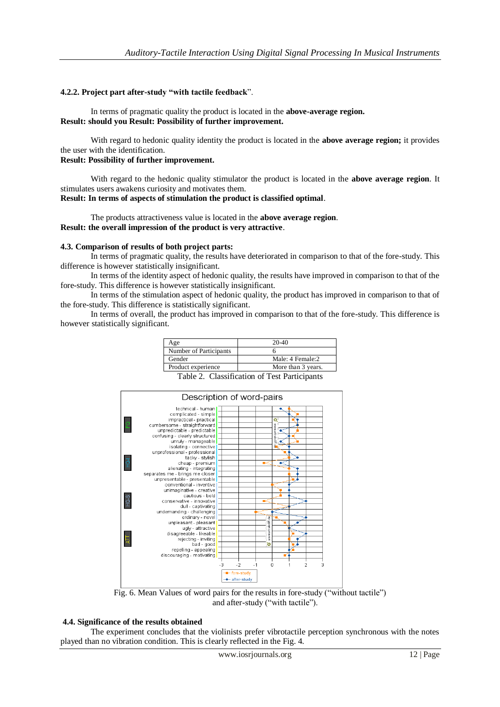## **4.2.2. Project part after-study "with tactile feedback**".

In terms of pragmatic quality the product is located in the **above-average region. Result: should you Result: Possibility of further improvement.**

With regard to hedonic quality identity the product is located in the **above average region;** it provides the user with the identification.

# **Result: Possibility of further improvement.**

With regard to the hedonic quality stimulator the product is located in the **above average region**. It stimulates users awakens curiosity and motivates them.

## **Result: In terms of aspects of stimulation the product is classified optimal**.

The products attractiveness value is located in the **above average region**. **Result: the overall impression of the product is very attractive**.

#### **4.3. Comparison of results of both project parts:**

In terms of pragmatic quality, the results have deteriorated in comparison to that of the fore-study. This difference is however statistically insignificant.

In terms of the identity aspect of hedonic quality, the results have improved in comparison to that of the fore-study. This difference is however statistically insignificant.

In terms of the stimulation aspect of hedonic quality, the product has improved in comparison to that of the fore-study. This difference is statistically significant.

In terms of overall, the product has improved in comparison to that of the fore-study. This difference is however statistically significant.

| Age                    | 20-40              |
|------------------------|--------------------|
| Number of Participants |                    |
| Gender                 | Male: 4 Female:2   |
| Product experience     | More than 3 years. |

Table 2. Classification of Test Participants



Fig. 6. Mean Values of word pairs for the results in fore-study ("without tactile") and after-study ("with tactile").

### **4.4. Significance of the results obtained**

The experiment concludes that the violinists prefer vibrotactile perception synchronous with the notes played than no vibration condition. This is clearly reflected in the Fig. 4.